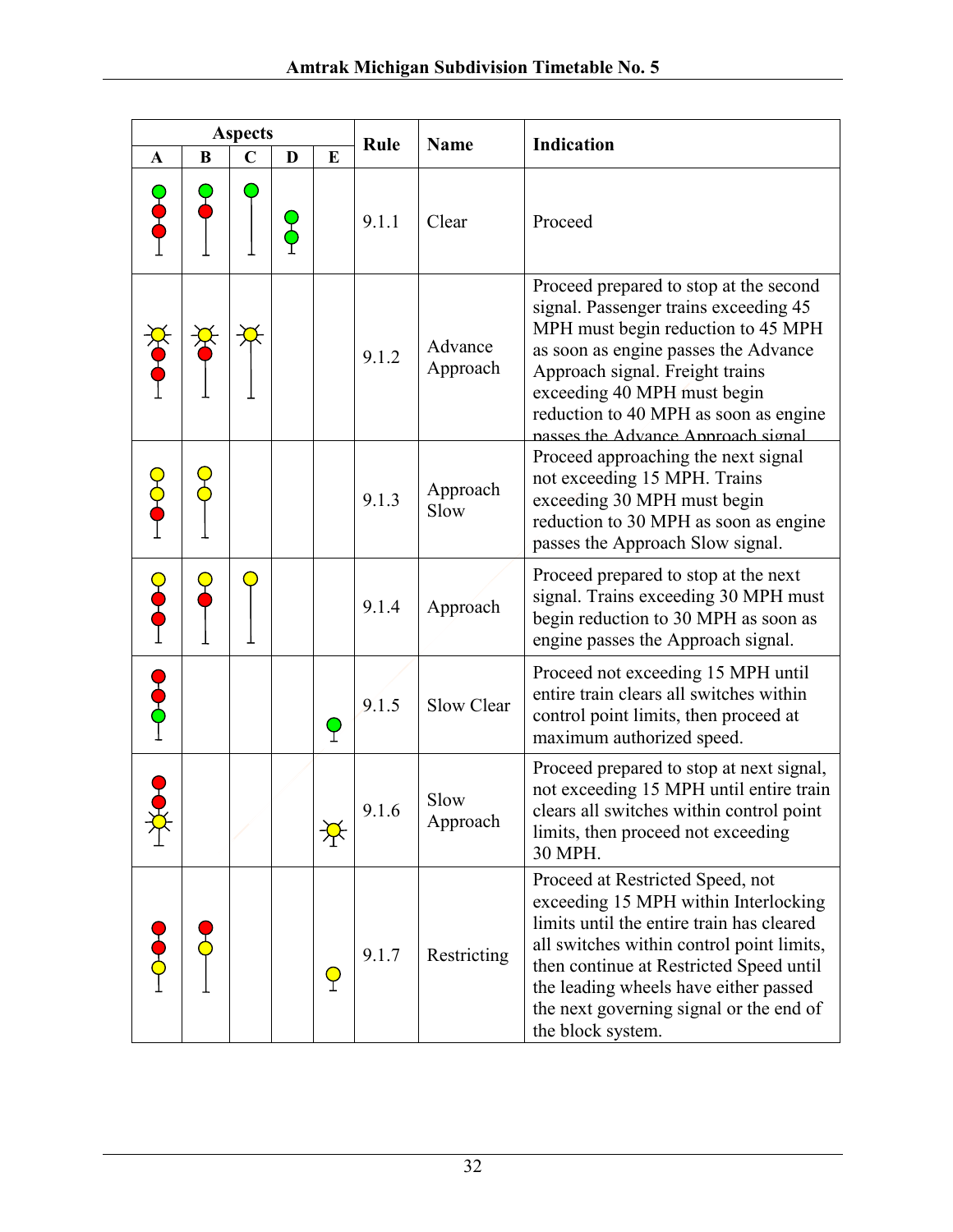|              |          | <b>Aspects</b> |   |          | Rule  | <b>Name</b>         | Indication                                                                                                                                                                                                                                                                                                             |
|--------------|----------|----------------|---|----------|-------|---------------------|------------------------------------------------------------------------------------------------------------------------------------------------------------------------------------------------------------------------------------------------------------------------------------------------------------------------|
| $\mathbf{A}$ | $\bf{B}$ | $\mathbf C$    | D | $\bf{E}$ |       |                     |                                                                                                                                                                                                                                                                                                                        |
|              |          |                |   |          | 9.1.1 | Clear               | Proceed                                                                                                                                                                                                                                                                                                                |
|              |          |                |   |          | 9.1.2 | Advance<br>Approach | Proceed prepared to stop at the second<br>signal. Passenger trains exceeding 45<br>MPH must begin reduction to 45 MPH<br>as soon as engine passes the Advance<br>Approach signal. Freight trains<br>exceeding 40 MPH must begin<br>reduction to 40 MPH as soon as engine<br>nasses the Advance Annroach signal         |
|              |          |                |   |          | 9.1.3 | Approach<br>Slow    | Proceed approaching the next signal<br>not exceeding 15 MPH. Trains<br>exceeding 30 MPH must begin<br>reduction to 30 MPH as soon as engine<br>passes the Approach Slow signal.                                                                                                                                        |
|              |          |                |   |          | 9.1.4 | Approach            | Proceed prepared to stop at the next<br>signal. Trains exceeding 30 MPH must<br>begin reduction to 30 MPH as soon as<br>engine passes the Approach signal.                                                                                                                                                             |
|              |          |                |   |          | 9.1.5 | Slow Clear          | Proceed not exceeding 15 MPH until<br>entire train clears all switches within<br>control point limits, then proceed at<br>maximum authorized speed.                                                                                                                                                                    |
|              |          |                |   |          | 9.1.6 | Slow<br>Approach    | Proceed prepared to stop at next signal,<br>not exceeding 15 MPH until entire train<br>clears all switches within control point<br>limits, then proceed not exceeding<br>30 MPH.                                                                                                                                       |
|              |          |                |   | $\Theta$ | 9.1.7 | Restricting         | Proceed at Restricted Speed, not<br>exceeding 15 MPH within Interlocking<br>limits until the entire train has cleared<br>all switches within control point limits,<br>then continue at Restricted Speed until<br>the leading wheels have either passed<br>the next governing signal or the end of<br>the block system. |